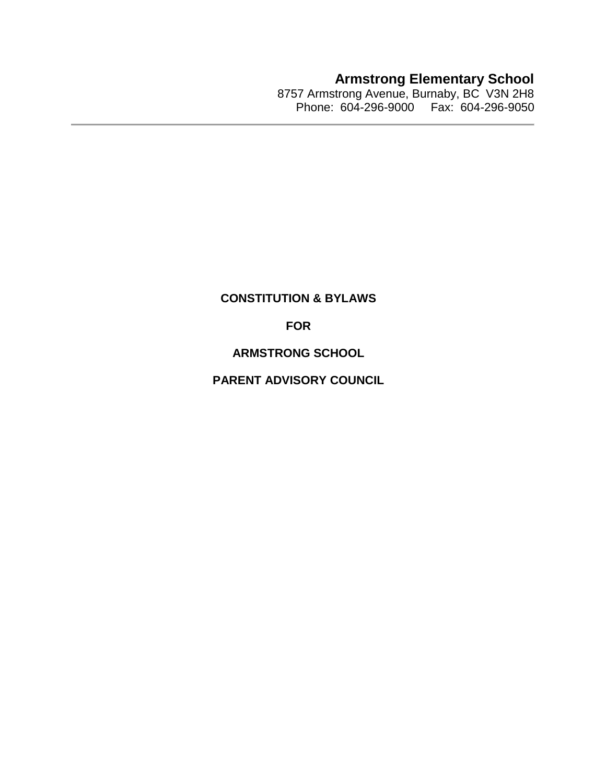**Armstrong Elementary School**

8757 Armstrong Avenue, Burnaby, BC V3N 2H8 Phone: 604-296-9000 Fax: 604-296-9050

# **CONSTITUTION & BYLAWS**

**FOR**

**ARMSTRONG SCHOOL**

**PARENT ADVISORY COUNCIL**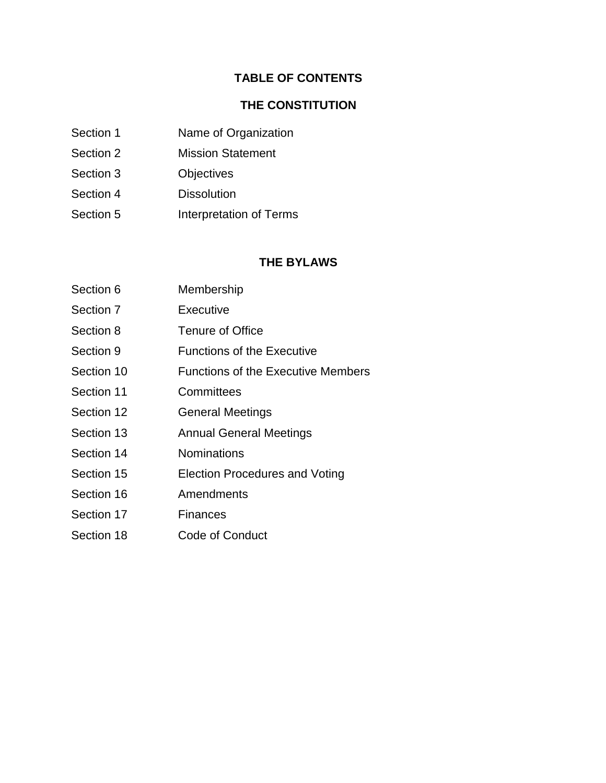## **TABLE OF CONTENTS**

#### **THE CONSTITUTION**

- Section 1 Name of Organization
- Section 2 Mission Statement
- Section 3 Objectives
- Section 4 Dissolution
- Section 5 **Interpretation of Terms**

#### **THE BYLAWS**

Section 6 Membership Section 7 Executive Section 8 Tenure of Office Section 9 **Functions of the Executive** Section 10 Functions of the Executive Members Section 11 Committees Section 12 **General Meetings** Section 13 **Annual General Meetings** Section 14 **Nominations** Section 15 **Election Procedures and Voting** Section 16 Amendments Section 17 Finances Section 18 Code of Conduct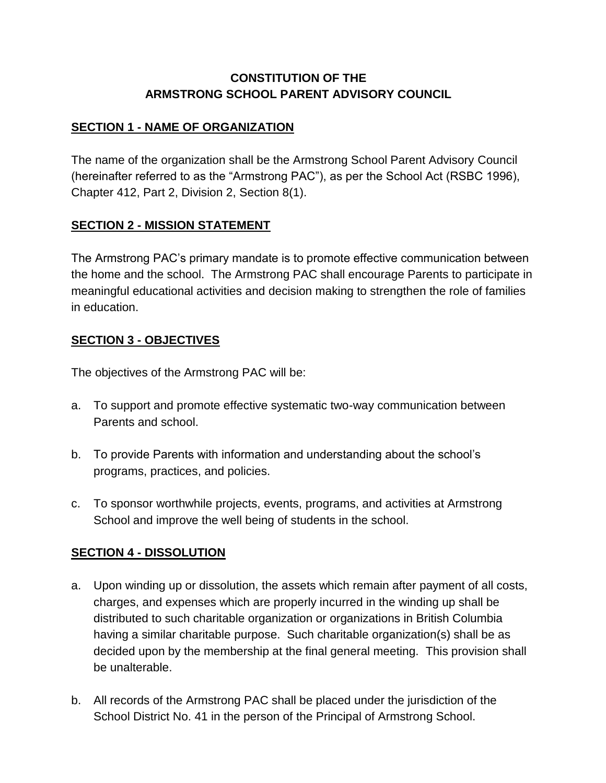# **CONSTITUTION OF THE ARMSTRONG SCHOOL PARENT ADVISORY COUNCIL**

# **SECTION 1 - NAME OF ORGANIZATION**

The name of the organization shall be the Armstrong School Parent Advisory Council (hereinafter referred to as the "Armstrong PAC"), as per the School Act (RSBC 1996), Chapter 412, Part 2, Division 2, Section 8(1).

# **SECTION 2 - MISSION STATEMENT**

The Armstrong PAC's primary mandate is to promote effective communication between the home and the school. The Armstrong PAC shall encourage Parents to participate in meaningful educational activities and decision making to strengthen the role of families in education.

# **SECTION 3 - OBJECTIVES**

The objectives of the Armstrong PAC will be:

- a. To support and promote effective systematic two-way communication between Parents and school.
- b. To provide Parents with information and understanding about the school's programs, practices, and policies.
- c. To sponsor worthwhile projects, events, programs, and activities at Armstrong School and improve the well being of students in the school.

## **SECTION 4 - DISSOLUTION**

- a. Upon winding up or dissolution, the assets which remain after payment of all costs, charges, and expenses which are properly incurred in the winding up shall be distributed to such charitable organization or organizations in British Columbia having a similar charitable purpose. Such charitable organization(s) shall be as decided upon by the membership at the final general meeting. This provision shall be unalterable.
- b. All records of the Armstrong PAC shall be placed under the jurisdiction of the School District No. 41 in the person of the Principal of Armstrong School.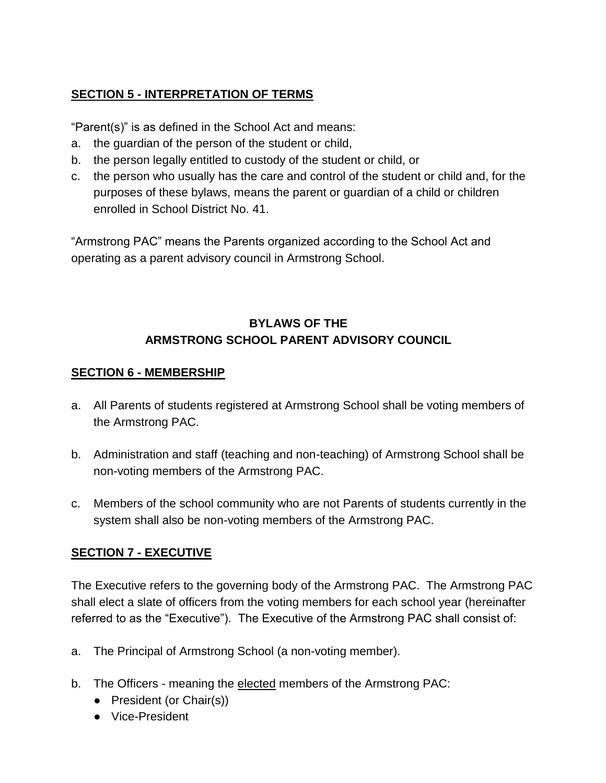# **SECTION 5 - INTERPRETATION OF TERMS**

"Parent(s)" is as defined in the School Act and means:

- a. the guardian of the person of the student or child,
- b. the person legally entitled to custody of the student or child, or
- c. the person who usually has the care and control of the student or child and, for the purposes of these bylaws, means the parent or guardian of a child or children enrolled in School District No. 41.

"Armstrong PAC" means the Parents organized according to the School Act and operating as a parent advisory council in Armstrong School.

# **BYLAWS OF THE ARMSTRONG SCHOOL PARENT ADVISORY COUNCIL**

## **SECTION 6 - MEMBERSHIP**

- a. All Parents of students registered at Armstrong School shall be voting members of the Armstrong PAC.
- b. Administration and staff (teaching and non-teaching) of Armstrong School shall be non-voting members of the Armstrong PAC.
- c. Members of the school community who are not Parents of students currently in the system shall also be non-voting members of the Armstrong PAC.

# **SECTION 7 - EXECUTIVE**

The Executive refers to the governing body of the Armstrong PAC. The Armstrong PAC shall elect a slate of officers from the voting members for each school year (hereinafter referred to as the "Executive"). The Executive of the Armstrong PAC shall consist of:

- a. The Principal of Armstrong School (a non-voting member).
- b. The Officers meaning the elected members of the Armstrong PAC:
	- President (or Chair(s))
	- Vice-President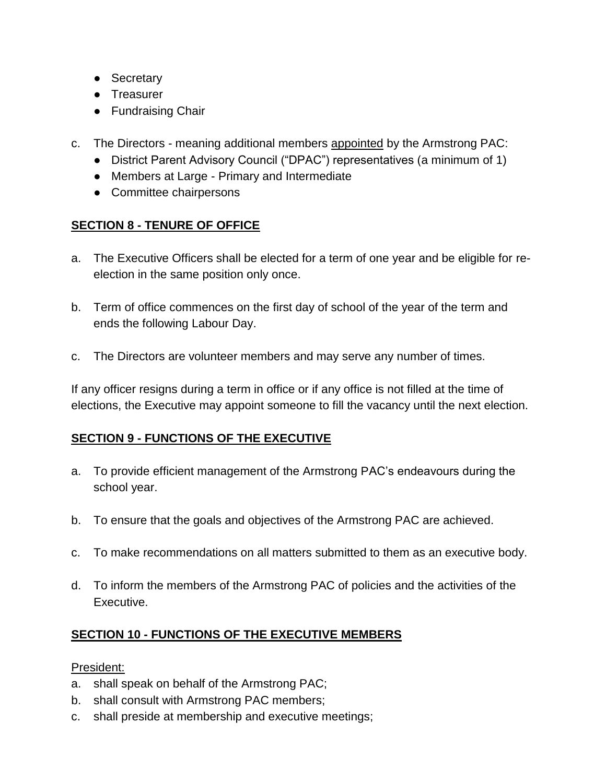- Secretary
- Treasurer
- Fundraising Chair
- c. The Directors meaning additional members appointed by the Armstrong PAC:
	- District Parent Advisory Council ("DPAC") representatives (a minimum of 1)
	- Members at Large Primary and Intermediate
	- Committee chairpersons

# **SECTION 8 - TENURE OF OFFICE**

- a. The Executive Officers shall be elected for a term of one year and be eligible for reelection in the same position only once.
- b. Term of office commences on the first day of school of the year of the term and ends the following Labour Day.
- c. The Directors are volunteer members and may serve any number of times.

If any officer resigns during a term in office or if any office is not filled at the time of elections, the Executive may appoint someone to fill the vacancy until the next election.

# **SECTION 9 - FUNCTIONS OF THE EXECUTIVE**

- a. To provide efficient management of the Armstrong PAC's endeavours during the school year.
- b. To ensure that the goals and objectives of the Armstrong PAC are achieved.
- c. To make recommendations on all matters submitted to them as an executive body.
- d. To inform the members of the Armstrong PAC of policies and the activities of the Executive.

# **SECTION 10 - FUNCTIONS OF THE EXECUTIVE MEMBERS**

## President:

- a. shall speak on behalf of the Armstrong PAC;
- b. shall consult with Armstrong PAC members;
- c. shall preside at membership and executive meetings;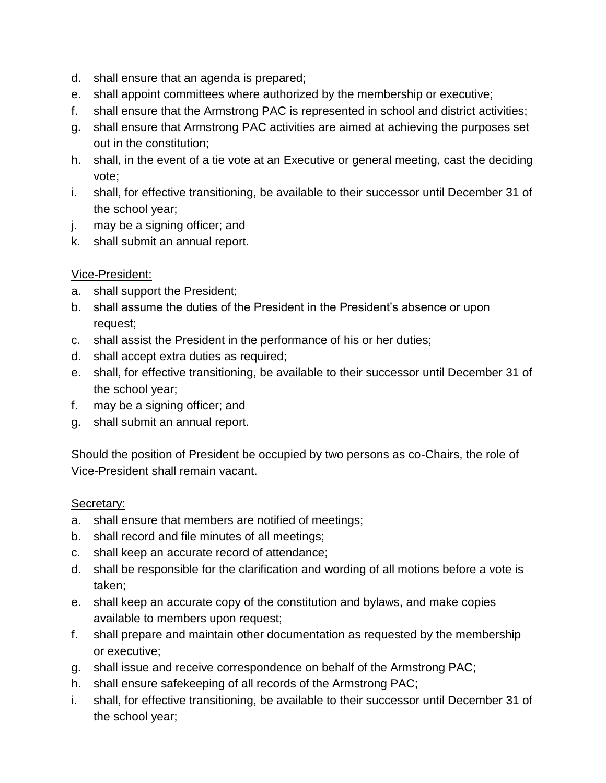- d. shall ensure that an agenda is prepared;
- e. shall appoint committees where authorized by the membership or executive;
- f. shall ensure that the Armstrong PAC is represented in school and district activities;
- g. shall ensure that Armstrong PAC activities are aimed at achieving the purposes set out in the constitution;
- h. shall, in the event of a tie vote at an Executive or general meeting, cast the deciding vote;
- i. shall, for effective transitioning, be available to their successor until December 31 of the school year;
- j. may be a signing officer; and
- k. shall submit an annual report.

# Vice-President:

- a. shall support the President;
- b. shall assume the duties of the President in the President's absence or upon request;
- c. shall assist the President in the performance of his or her duties;
- d. shall accept extra duties as required;
- e. shall, for effective transitioning, be available to their successor until December 31 of the school year;
- f. may be a signing officer; and
- g. shall submit an annual report.

Should the position of President be occupied by two persons as co-Chairs, the role of Vice-President shall remain vacant.

## Secretary:

- a. shall ensure that members are notified of meetings;
- b. shall record and file minutes of all meetings;
- c. shall keep an accurate record of attendance;
- d. shall be responsible for the clarification and wording of all motions before a vote is taken;
- e. shall keep an accurate copy of the constitution and bylaws, and make copies available to members upon request;
- f. shall prepare and maintain other documentation as requested by the membership or executive;
- g. shall issue and receive correspondence on behalf of the Armstrong PAC;
- h. shall ensure safekeeping of all records of the Armstrong PAC;
- i. shall, for effective transitioning, be available to their successor until December 31 of the school year;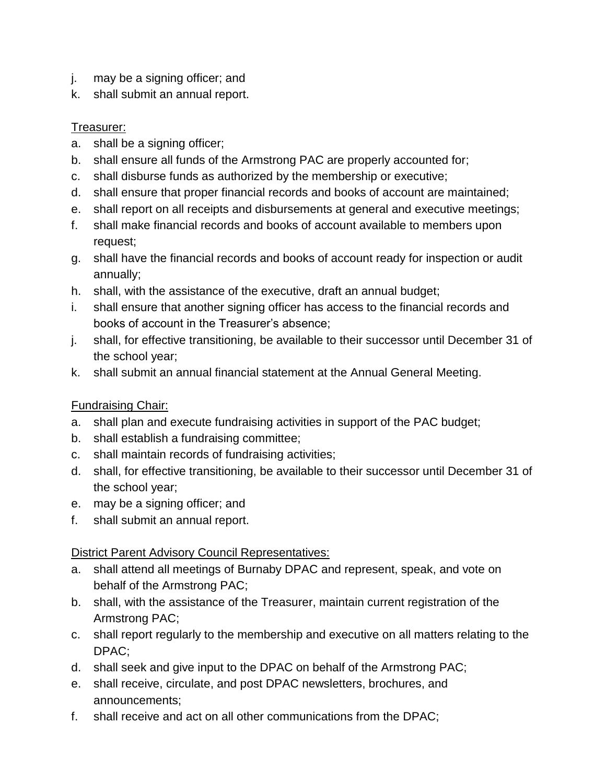- j. may be a signing officer; and
- k. shall submit an annual report.

# Treasurer:

- a. shall be a signing officer;
- b. shall ensure all funds of the Armstrong PAC are properly accounted for;
- c. shall disburse funds as authorized by the membership or executive;
- d. shall ensure that proper financial records and books of account are maintained;
- e. shall report on all receipts and disbursements at general and executive meetings;
- f. shall make financial records and books of account available to members upon request;
- g. shall have the financial records and books of account ready for inspection or audit annually;
- h. shall, with the assistance of the executive, draft an annual budget;
- i. shall ensure that another signing officer has access to the financial records and books of account in the Treasurer's absence;
- j. shall, for effective transitioning, be available to their successor until December 31 of the school year;
- k. shall submit an annual financial statement at the Annual General Meeting.

# Fundraising Chair:

- a. shall plan and execute fundraising activities in support of the PAC budget;
- b. shall establish a fundraising committee;
- c. shall maintain records of fundraising activities;
- d. shall, for effective transitioning, be available to their successor until December 31 of the school year;
- e. may be a signing officer; and
- f. shall submit an annual report.

## District Parent Advisory Council Representatives:

- a. shall attend all meetings of Burnaby DPAC and represent, speak, and vote on behalf of the Armstrong PAC;
- b. shall, with the assistance of the Treasurer, maintain current registration of the Armstrong PAC;
- c. shall report regularly to the membership and executive on all matters relating to the DPAC;
- d. shall seek and give input to the DPAC on behalf of the Armstrong PAC;
- e. shall receive, circulate, and post DPAC newsletters, brochures, and announcements;
- f. shall receive and act on all other communications from the DPAC;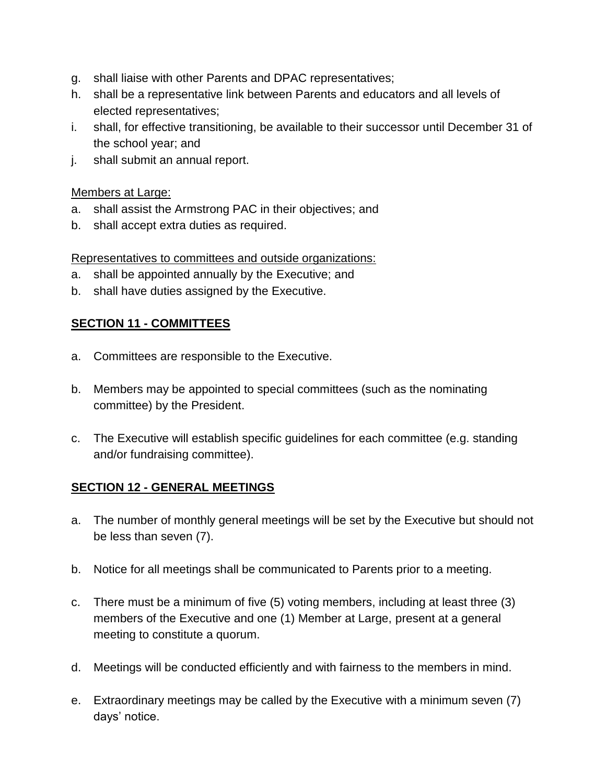- g. shall liaise with other Parents and DPAC representatives;
- h. shall be a representative link between Parents and educators and all levels of elected representatives;
- i. shall, for effective transitioning, be available to their successor until December 31 of the school year; and
- j. shall submit an annual report.

#### Members at Large:

- a. shall assist the Armstrong PAC in their objectives; and
- b. shall accept extra duties as required.

#### Representatives to committees and outside organizations:

- a. shall be appointed annually by the Executive; and
- b. shall have duties assigned by the Executive.

## **SECTION 11 - COMMITTEES**

- a. Committees are responsible to the Executive.
- b. Members may be appointed to special committees (such as the nominating committee) by the President.
- c. The Executive will establish specific guidelines for each committee (e.g. standing and/or fundraising committee).

## **SECTION 12 - GENERAL MEETINGS**

- a. The number of monthly general meetings will be set by the Executive but should not be less than seven (7).
- b. Notice for all meetings shall be communicated to Parents prior to a meeting.
- c. There must be a minimum of five (5) voting members, including at least three (3) members of the Executive and one (1) Member at Large, present at a general meeting to constitute a quorum.
- d. Meetings will be conducted efficiently and with fairness to the members in mind.
- e. Extraordinary meetings may be called by the Executive with a minimum seven (7) days' notice.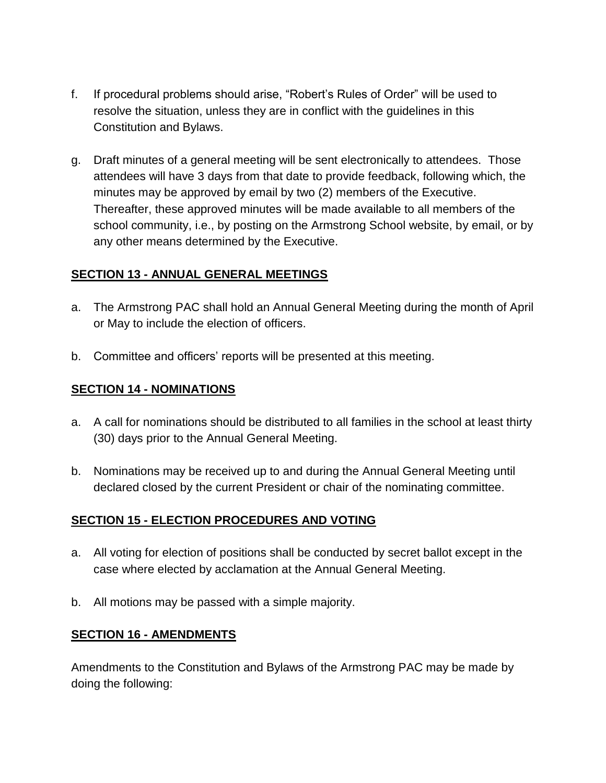- f. If procedural problems should arise, "Robert's Rules of Order" will be used to resolve the situation, unless they are in conflict with the guidelines in this Constitution and Bylaws.
- g. Draft minutes of a general meeting will be sent electronically to attendees. Those attendees will have 3 days from that date to provide feedback, following which, the minutes may be approved by email by two (2) members of the Executive. Thereafter, these approved minutes will be made available to all members of the school community, i.e., by posting on the Armstrong School website, by email, or by any other means determined by the Executive.

#### **SECTION 13 - ANNUAL GENERAL MEETINGS**

- a. The Armstrong PAC shall hold an Annual General Meeting during the month of April or May to include the election of officers.
- b. Committee and officers' reports will be presented at this meeting.

## **SECTION 14 - NOMINATIONS**

- a. A call for nominations should be distributed to all families in the school at least thirty (30) days prior to the Annual General Meeting.
- b. Nominations may be received up to and during the Annual General Meeting until declared closed by the current President or chair of the nominating committee.

## **SECTION 15 - ELECTION PROCEDURES AND VOTING**

- a. All voting for election of positions shall be conducted by secret ballot except in the case where elected by acclamation at the Annual General Meeting.
- b. All motions may be passed with a simple majority.

## **SECTION 16 - AMENDMENTS**

Amendments to the Constitution and Bylaws of the Armstrong PAC may be made by doing the following: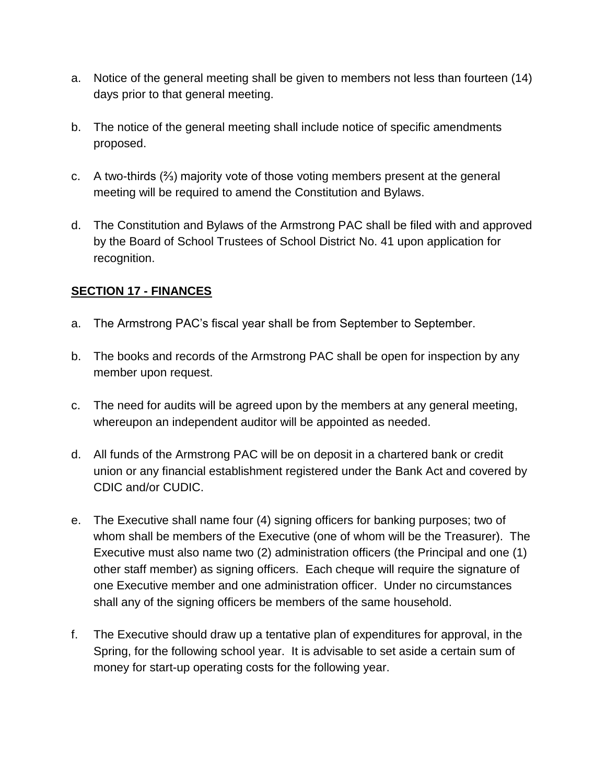- a. Notice of the general meeting shall be given to members not less than fourteen (14) days prior to that general meeting.
- b. The notice of the general meeting shall include notice of specific amendments proposed.
- c. A two-thirds (⅔) majority vote of those voting members present at the general meeting will be required to amend the Constitution and Bylaws.
- d. The Constitution and Bylaws of the Armstrong PAC shall be filed with and approved by the Board of School Trustees of School District No. 41 upon application for recognition.

## **SECTION 17 - FINANCES**

- a. The Armstrong PAC's fiscal year shall be from September to September.
- b. The books and records of the Armstrong PAC shall be open for inspection by any member upon request.
- c. The need for audits will be agreed upon by the members at any general meeting, whereupon an independent auditor will be appointed as needed.
- d. All funds of the Armstrong PAC will be on deposit in a chartered bank or credit union or any financial establishment registered under the Bank Act and covered by CDIC and/or CUDIC.
- e. The Executive shall name four (4) signing officers for banking purposes; two of whom shall be members of the Executive (one of whom will be the Treasurer). The Executive must also name two (2) administration officers (the Principal and one (1) other staff member) as signing officers. Each cheque will require the signature of one Executive member and one administration officer. Under no circumstances shall any of the signing officers be members of the same household.
- f. The Executive should draw up a tentative plan of expenditures for approval, in the Spring, for the following school year. It is advisable to set aside a certain sum of money for start-up operating costs for the following year.